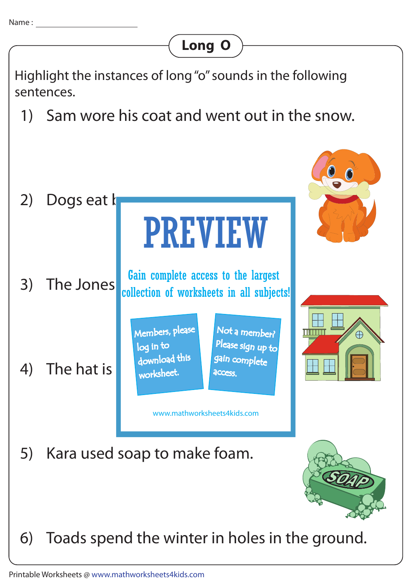